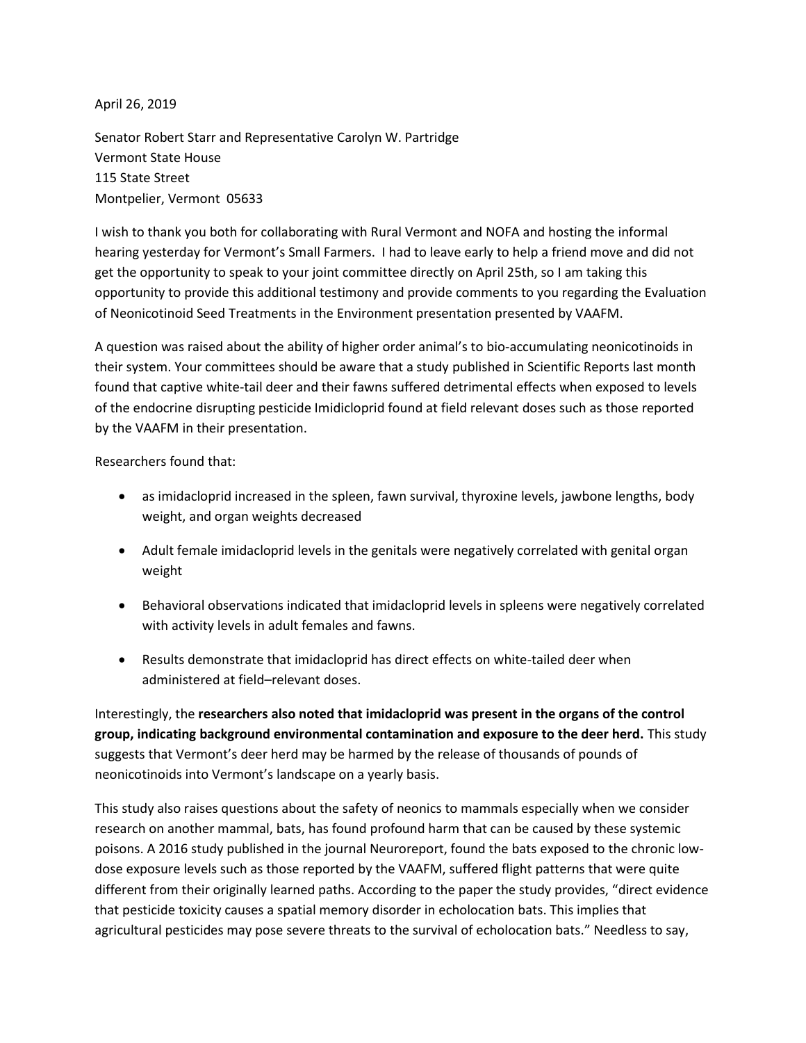April 26, 2019

Senator Robert Starr and Representative Carolyn W. Partridge Vermont State House 115 State Street Montpelier, Vermont 05633

I wish to thank you both for collaborating with Rural Vermont and NOFA and hosting the informal hearing yesterday for Vermont's Small Farmers. I had to leave early to help a friend move and did not get the opportunity to speak to your joint committee directly on April 25th, so I am taking this opportunity to provide this additional testimony and provide comments to you regarding the Evaluation of Neonicotinoid Seed Treatments in the Environment presentation presented by VAAFM.

A question was raised about the ability of higher order animal's to bio-accumulating neonicotinoids in their system. Your committees should be aware that a study published in Scientific Reports last month found that captive white-tail deer and their fawns suffered detrimental effects when exposed to levels of the endocrine disrupting pesticide Imidicloprid found at field relevant doses such as those reported by the VAAFM in their presentation.

Researchers found that:

- as imidacloprid increased in the spleen, fawn survival, thyroxine levels, jawbone lengths, body weight, and organ weights decreased
- Adult female imidacloprid levels in the genitals were negatively correlated with genital organ weight
- Behavioral observations indicated that imidacloprid levels in spleens were negatively correlated with activity levels in adult females and fawns.
- Results demonstrate that imidacloprid has direct effects on white-tailed deer when administered at field–relevant doses.

Interestingly, the **researchers also noted that imidacloprid was present in the organs of the control group, indicating background environmental contamination and exposure to the deer herd.** This study suggests that Vermont's deer herd may be harmed by the release of thousands of pounds of neonicotinoids into Vermont's landscape on a yearly basis.

This study also raises questions about the safety of neonics to mammals especially when we consider research on another mammal, bats, has found profound harm that can be caused by these systemic poisons. A 2016 study published in the journal Neuroreport, found the bats exposed to the chronic lowdose exposure levels such as those reported by the VAAFM, suffered flight patterns that were quite different from their originally learned paths. According to the paper the study provides, "direct evidence that pesticide toxicity causes a spatial memory disorder in echolocation bats. This implies that agricultural pesticides may pose severe threats to the survival of echolocation bats." Needless to say,